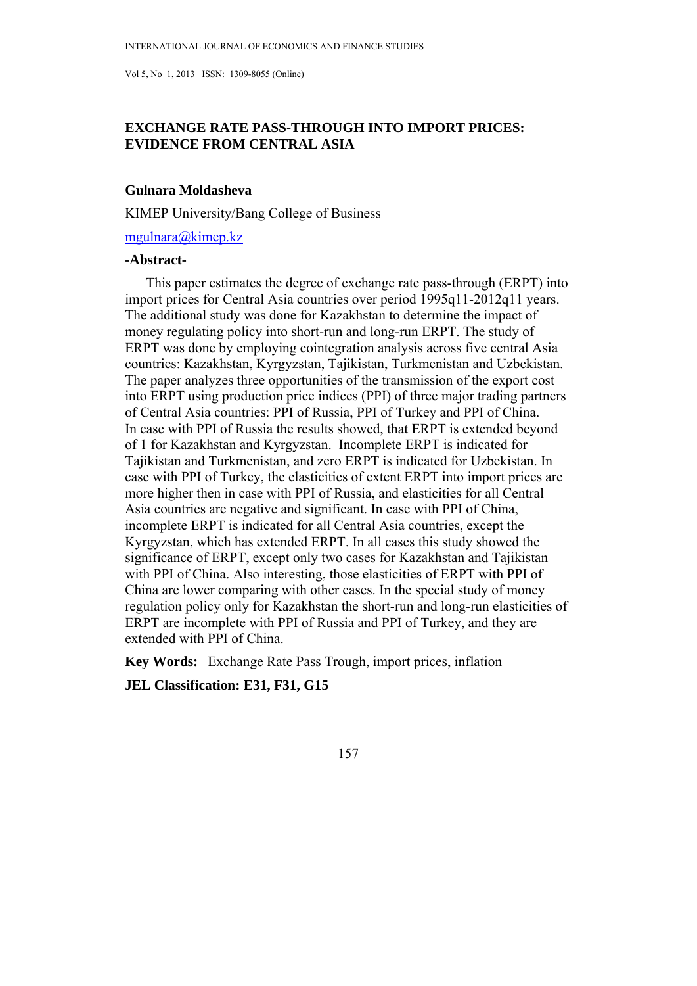# **EXCHANGE RATE PASS-THROUGH INTO IMPORT PRICES: EVIDENCE FROM CENTRAL ASIA**

## **Gulnara Moldasheva**

KIMEP University/Bang College of Business

mgulnara@kimep.kz

## **-Abstract-**

 This paper estimates the degree of exchange rate pass-through (ERPT) into import prices for Central Asia countries over period 1995q11-2012q11 years. The additional study was done for Kazakhstan to determine the impact of money regulating policy into short-run and long-run ERPT. The study of ERPT was done by employing cointegration analysis across five central Asia countries: Kazakhstan, Kyrgyzstan, Tajikistan, Turkmenistan and Uzbekistan. The paper analyzes three opportunities of the transmission of the export cost into ERPT using production price indices (PPI) of three major trading partners of Central Asia countries: PPI of Russia, PPI of Turkey and PPI of China. In case with PPI of Russia the results showed, that ERPT is extended beyond of 1 for Kazakhstan and Kyrgyzstan. Incomplete ERPT is indicated for Tajikistan and Turkmenistan, and zero ERPT is indicated for Uzbekistan. In case with PPI of Turkey, the elasticities of extent ERPT into import prices are more higher then in case with PPI of Russia, and elasticities for all Central Asia countries are negative and significant. In case with PPI of China, incomplete ERPT is indicated for all Central Asia countries, except the Kyrgyzstan, which has extended ERPT. In all cases this study showed the significance of ERPT, except only two cases for Kazakhstan and Tajikistan with PPI of China. Also interesting, those elasticities of ERPT with PPI of China are lower comparing with other cases. In the special study of money regulation policy only for Kazakhstan the short-run and long-run elasticities of ERPT are incomplete with PPI of Russia and PPI of Turkey, and they are extended with PPI of China.

**Key Words:** Exchange Rate Pass Trough, import prices, inflation

**JEL Classification: E31, F31, G15**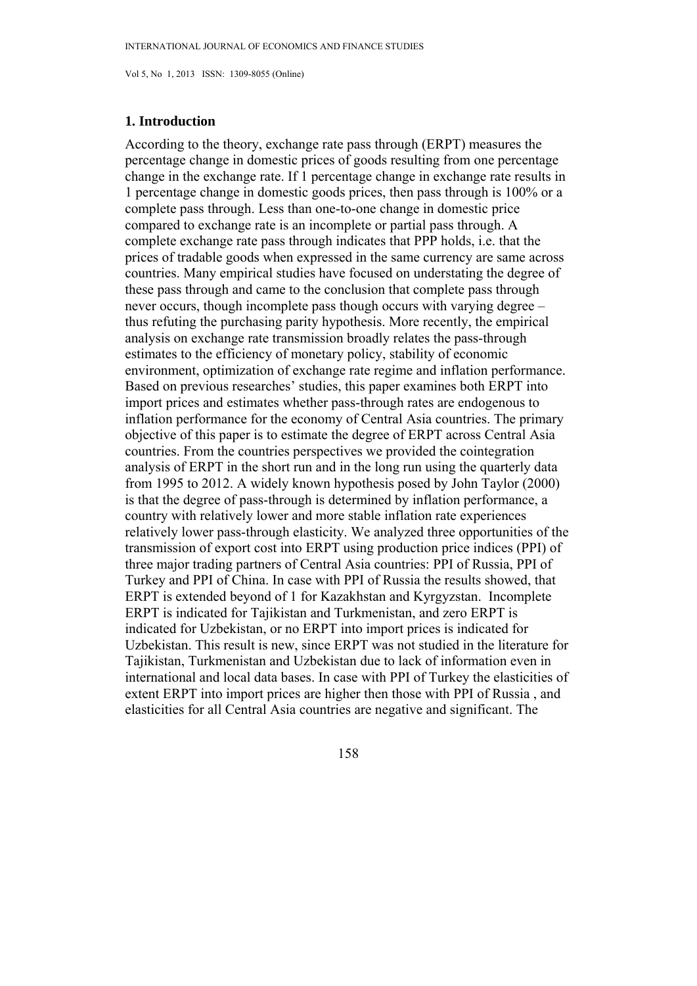## **1. Introduction**

According to the theory, exchange rate pass through (ERPT) measures the percentage change in domestic prices of goods resulting from one percentage change in the exchange rate. If 1 percentage change in exchange rate results in 1 percentage change in domestic goods prices, then pass through is 100% or a complete pass through. Less than one-to-one change in domestic price compared to exchange rate is an incomplete or partial pass through. A complete exchange rate pass through indicates that PPP holds, i.e. that the prices of tradable goods when expressed in the same currency are same across countries. Many empirical studies have focused on understating the degree of these pass through and came to the conclusion that complete pass through never occurs, though incomplete pass though occurs with varying degree – thus refuting the purchasing parity hypothesis. More recently, the empirical analysis on exchange rate transmission broadly relates the pass-through estimates to the efficiency of monetary policy, stability of economic environment, optimization of exchange rate regime and inflation performance. Based on previous researches' studies, this paper examines both ERPT into import prices and estimates whether pass-through rates are endogenous to inflation performance for the economy of Central Asia countries. The primary objective of this paper is to estimate the degree of ERPT across Central Asia countries. From the countries perspectives we provided the cointegration analysis of ERPT in the short run and in the long run using the quarterly data from 1995 to 2012. A widely known hypothesis posed by John Taylor (2000) is that the degree of pass-through is determined by inflation performance, a country with relatively lower and more stable inflation rate experiences relatively lower pass-through elasticity. We analyzed three opportunities of the transmission of export cost into ERPT using production price indices (PPI) of three major trading partners of Central Asia countries: PPI of Russia, PPI of Turkey and PPI of China. In case with PPI of Russia the results showed, that ERPT is extended beyond of 1 for Kazakhstan and Kyrgyzstan. Incomplete ERPT is indicated for Tajikistan and Turkmenistan, and zero ERPT is indicated for Uzbekistan, or no ERPT into import prices is indicated for Uzbekistan. This result is new, since ERPT was not studied in the literature for Tajikistan, Turkmenistan and Uzbekistan due to lack of information even in international and local data bases. In case with PPI of Turkey the elasticities of extent ERPT into import prices are higher then those with PPI of Russia , and elasticities for all Central Asia countries are negative and significant. The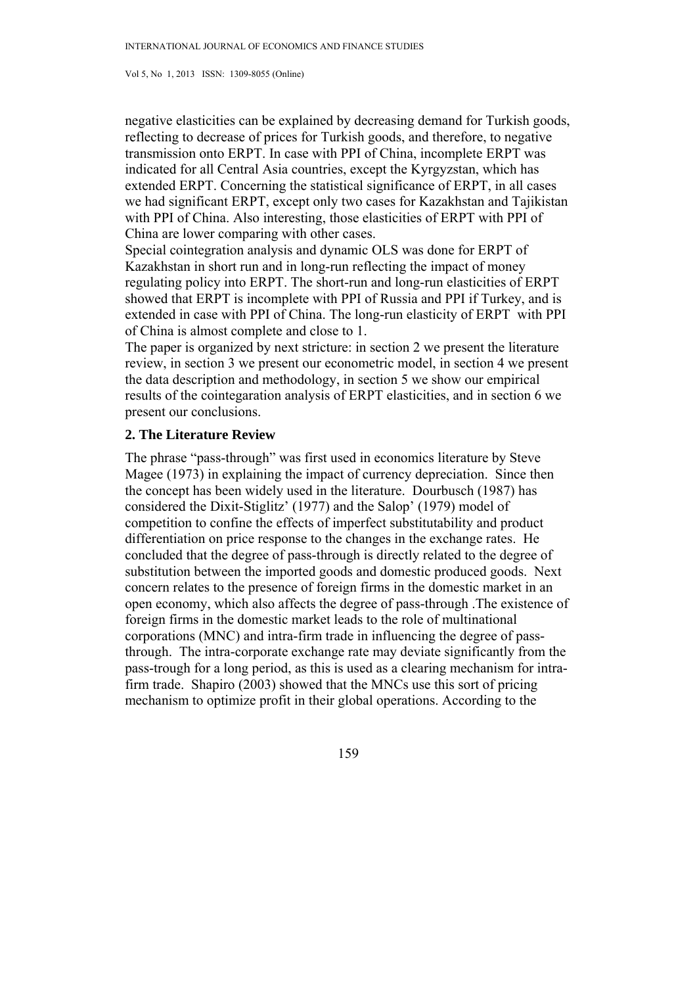negative elasticities can be explained by decreasing demand for Turkish goods, reflecting to decrease of prices for Turkish goods, and therefore, to negative transmission onto ERPT. In case with PPI of China, incomplete ERPT was indicated for all Central Asia countries, except the Kyrgyzstan, which has extended ERPT. Concerning the statistical significance of ERPT, in all cases we had significant ERPT, except only two cases for Kazakhstan and Tajikistan with PPI of China. Also interesting, those elasticities of ERPT with PPI of China are lower comparing with other cases.

Special cointegration analysis and dynamic OLS was done for ERPT of Kazakhstan in short run and in long-run reflecting the impact of money regulating policy into ERPT. The short-run and long-run elasticities of ERPT showed that ERPT is incomplete with PPI of Russia and PPI if Turkey, and is extended in case with PPI of China. The long-run elasticity of ERPT with PPI of China is almost complete and close to 1.

The paper is organized by next stricture: in section 2 we present the literature review, in section 3 we present our econometric model, in section 4 we present the data description and methodology, in section 5 we show our empirical results of the cointegaration analysis of ERPT elasticities, and in section 6 we present our conclusions.

## **2. The Literature Review**

The phrase "pass-through" was first used in economics literature by Steve Magee (1973) in explaining the impact of currency depreciation. Since then the concept has been widely used in the literature. Dourbusch (1987) has considered the Dixit-Stiglitz' (1977) and the Salop' (1979) model of competition to confine the effects of imperfect substitutability and product differentiation on price response to the changes in the exchange rates. He concluded that the degree of pass-through is directly related to the degree of substitution between the imported goods and domestic produced goods. Next concern relates to the presence of foreign firms in the domestic market in an open economy, which also affects the degree of pass-through .The existence of foreign firms in the domestic market leads to the role of multinational corporations (MNC) and intra-firm trade in influencing the degree of passthrough. The intra-corporate exchange rate may deviate significantly from the pass-trough for a long period, as this is used as a clearing mechanism for intrafirm trade. Shapiro (2003) showed that the MNCs use this sort of pricing mechanism to optimize profit in their global operations. According to the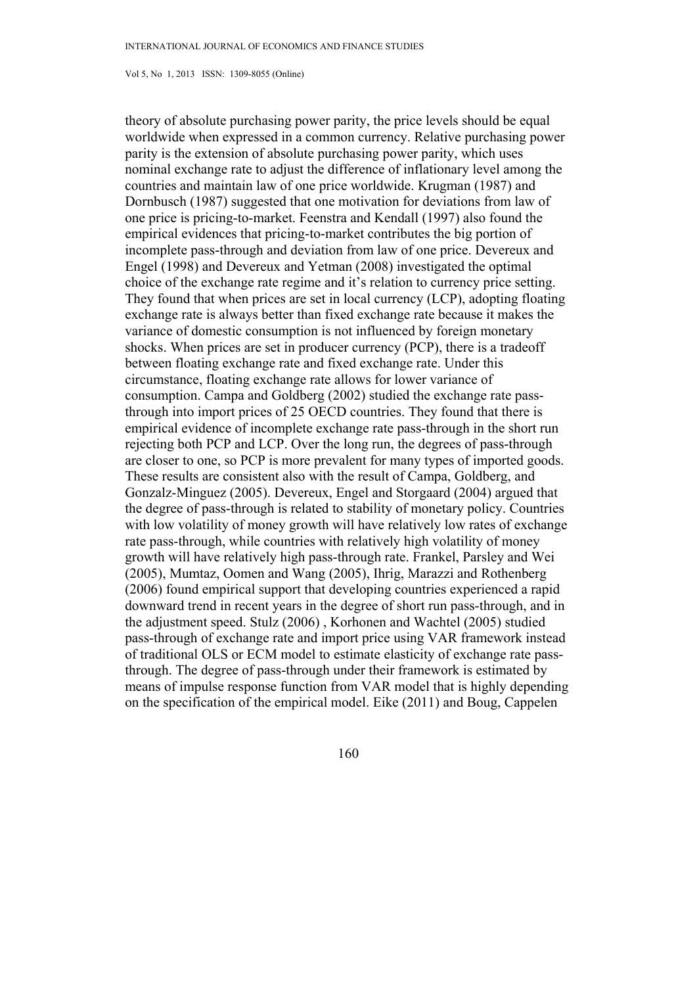theory of absolute purchasing power parity, the price levels should be equal worldwide when expressed in a common currency. Relative purchasing power parity is the extension of absolute purchasing power parity, which uses nominal exchange rate to adjust the difference of inflationary level among the countries and maintain law of one price worldwide. Krugman (1987) and Dornbusch (1987) suggested that one motivation for deviations from law of one price is pricing-to-market. Feenstra and Kendall (1997) also found the empirical evidences that pricing-to-market contributes the big portion of incomplete pass-through and deviation from law of one price. Devereux and Engel (1998) and Devereux and Yetman (2008) investigated the optimal choice of the exchange rate regime and it's relation to currency price setting. They found that when prices are set in local currency (LCP), adopting floating exchange rate is always better than fixed exchange rate because it makes the variance of domestic consumption is not influenced by foreign monetary shocks. When prices are set in producer currency (PCP), there is a tradeoff between floating exchange rate and fixed exchange rate. Under this circumstance, floating exchange rate allows for lower variance of consumption. Campa and Goldberg (2002) studied the exchange rate passthrough into import prices of 25 OECD countries. They found that there is empirical evidence of incomplete exchange rate pass-through in the short run rejecting both PCP and LCP. Over the long run, the degrees of pass-through are closer to one, so PCP is more prevalent for many types of imported goods. These results are consistent also with the result of Campa, Goldberg, and Gonzalz-Minguez (2005). Devereux, Engel and Storgaard (2004) argued that the degree of pass-through is related to stability of monetary policy. Countries with low volatility of money growth will have relatively low rates of exchange rate pass-through, while countries with relatively high volatility of money growth will have relatively high pass-through rate. Frankel, Parsley and Wei (2005), Mumtaz, Oomen and Wang (2005), Ihrig, Marazzi and Rothenberg (2006) found empirical support that developing countries experienced a rapid downward trend in recent years in the degree of short run pass-through, and in the adjustment speed. Stulz (2006) , Korhonen and Wachtel (2005) studied pass-through of exchange rate and import price using VAR framework instead of traditional OLS or ECM model to estimate elasticity of exchange rate passthrough. The degree of pass-through under their framework is estimated by means of impulse response function from VAR model that is highly depending on the specification of the empirical model. Eike (2011) and Boug, Cappelen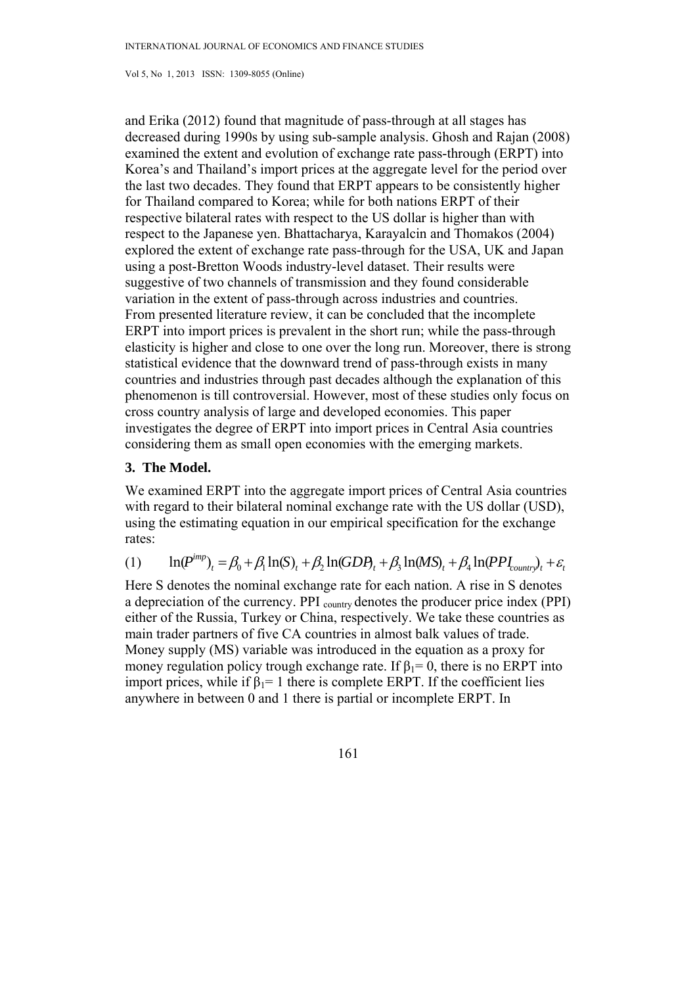and Erika (2012) found that magnitude of pass-through at all stages has decreased during 1990s by using sub-sample analysis. Ghosh and Rajan (2008) examined the extent and evolution of exchange rate pass-through (ERPT) into Korea's and Thailand's import prices at the aggregate level for the period over the last two decades. They found that ERPT appears to be consistently higher for Thailand compared to Korea; while for both nations ERPT of their respective bilateral rates with respect to the US dollar is higher than with respect to the Japanese yen. Bhattacharya, Karayalcin and Thomakos (2004) explored the extent of exchange rate pass-through for the USA, UK and Japan using a post-Bretton Woods industry-level dataset. Their results were suggestive of two channels of transmission and they found considerable variation in the extent of pass-through across industries and countries. From presented literature review, it can be concluded that the incomplete ERPT into import prices is prevalent in the short run; while the pass-through elasticity is higher and close to one over the long run. Moreover, there is strong statistical evidence that the downward trend of pass-through exists in many countries and industries through past decades although the explanation of this phenomenon is till controversial. However, most of these studies only focus on cross country analysis of large and developed economies. This paper investigates the degree of ERPT into import prices in Central Asia countries considering them as small open economies with the emerging markets.

# **3. The Model.**

We examined ERPT into the aggregate import prices of Central Asia countries with regard to their bilateral nominal exchange rate with the US dollar (USD), using the estimating equation in our empirical specification for the exchange rates:

(1) 
$$
\ln(P^{imp})_t = \beta_0 + \beta_1 \ln(S)_t + \beta_2 \ln(GDP_t + \beta_3 \ln(MS)_t + \beta_4 \ln(PPI_{counter})_t + \varepsilon_t
$$

Here S denotes the nominal exchange rate for each nation. A rise in S denotes a depreciation of the currency. PPI <sub>country</sub> denotes the producer price index (PPI) either of the Russia, Turkey or China, respectively. We take these countries as main trader partners of five CA countries in almost balk values of trade. Money supply (MS) variable was introduced in the equation as a proxy for money regulation policy trough exchange rate. If  $\beta_1 = 0$ , there is no ERPT into import prices, while if  $\beta_1 = 1$  there is complete ERPT. If the coefficient lies anywhere in between 0 and 1 there is partial or incomplete ERPT. In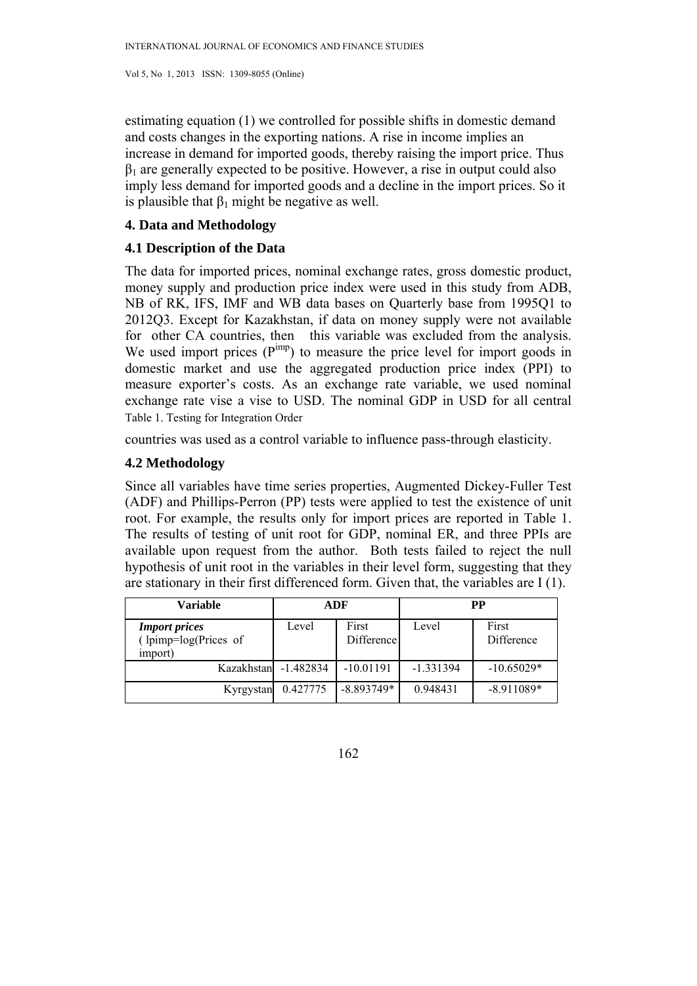estimating equation (1) we controlled for possible shifts in domestic demand and costs changes in the exporting nations. A rise in income implies an increase in demand for imported goods, thereby raising the import price. Thus  $\beta_1$  are generally expected to be positive. However, a rise in output could also imply less demand for imported goods and a decline in the import prices. So it is plausible that  $\beta_1$  might be negative as well.

# **4. Data and Methodology**

# **4.1 Description of the Data**

The data for imported prices, nominal exchange rates, gross domestic product, money supply and production price index were used in this study from ADB, NB of RK, IFS, IMF and WB data bases on Quarterly base from 1995Q1 to 2012Q3. Except for Kazakhstan, if data on money supply were not available for other CA countries, then this variable was excluded from the analysis. We used import prices  $(P^{imp})$  to measure the price level for import goods in domestic market and use the aggregated production price index (PPI) to measure exporter's costs. As an exchange rate variable, we used nominal exchange rate vise a vise to USD. The nominal GDP in USD for all central Table 1. Testing for Integration Order

countries was used as a control variable to influence pass-through elasticity.

# **4.2 Methodology**

Since all variables have time series properties, Augmented Dickey-Fuller Test (ADF) and Phillips-Perron (PP) tests were applied to test the existence of unit root. For example, the results only for import prices are reported in Table 1. The results of testing of unit root for GDP, nominal ER, and three PPIs are available upon request from the author. Both tests failed to reject the null hypothesis of unit root in the variables in their level form, suggesting that they are stationary in their first differenced form. Given that, the variables are I (1).

| Variable                                                        |             | ADF                 | <b>PP</b>   |                     |  |
|-----------------------------------------------------------------|-------------|---------------------|-------------|---------------------|--|
| <b>Import prices</b><br>(lpimp=log(Prices of<br><i>import</i> ) | Level       | First<br>Difference | Level       | First<br>Difference |  |
| Kazakhstan                                                      | $-1.482834$ | $-10.01191$         | $-1.331394$ | $-10.65029*$        |  |
| Kyrgystan                                                       | 0.427775    | $-8.893749*$        | 0.948431    | $-8.911089*$        |  |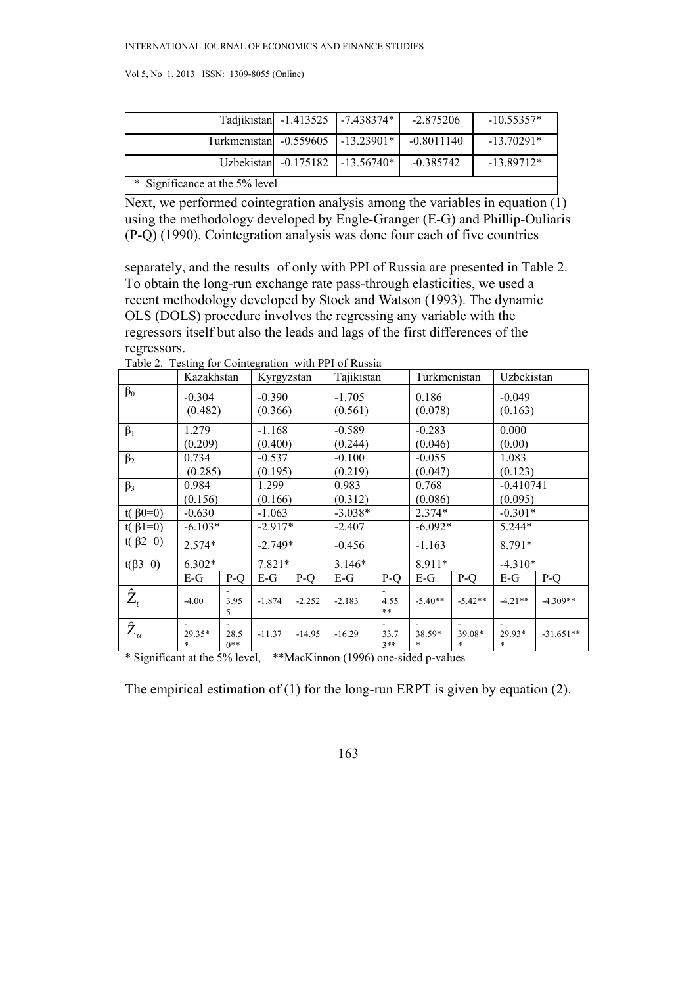|                                   |  | Tadjikistan -1.413525 -7.438374* | $-2.875206$  | $-10.55357*$ |  |
|-----------------------------------|--|----------------------------------|--------------|--------------|--|
| Turkmenistan -0.559605 -13.23901* |  |                                  | $-0.8011140$ | $-13.70291*$ |  |
|                                   |  | Uzbekistan -0.175182 -13.56740*  | $-0.385742$  | $-13.89712*$ |  |
| * Significance at the 5% level    |  |                                  |              |              |  |

Next, we performed cointegration analysis among the variables in equation (1) using the methodology developed by Engle-Granger (E-G) and Phillip-Ouliaris (P-Q) (1990). Cointegration analysis was done four each of five countries

separately, and the results of only with PPI of Russia are presented in Table 2. To obtain the long-run exchange rate pass-through elasticities, we used a recent methodology developed by Stock and Watson (1993). The dynamic OLS (DOLS) procedure involves the regressing any variable with the regressors itself but also the leads and lags of the first differences of the regressors.

|                           | Kazakhstan  |                                | Kyrgyzstan |                     | Tajikistan |                  | Turkmenistan |                     | Uzbekistan  |             |  |
|---------------------------|-------------|--------------------------------|------------|---------------------|------------|------------------|--------------|---------------------|-------------|-------------|--|
| $\beta_0$                 | $-0.304$    | $-0.390$<br>(0.482)<br>(0.366) |            | $-1.705$<br>(0.561) |            | 0.186<br>(0.078) |              | $-0.049$<br>(0.163) |             |             |  |
| $\beta_1$                 | 1.279       | -1.168                         |            | $-0.589$            |            | $-0.283$         |              | 0.000               |             |             |  |
|                           | (0.209)     |                                | (0.400)    |                     | (0.244)    |                  | (0.046)      |                     | (0.00)      |             |  |
| $\beta_2$                 | 0.734       |                                | $-0.537$   |                     | $-0.100$   |                  | $-0.055$     |                     | 1.083       |             |  |
|                           | (0.285)     |                                | (0.195)    |                     | (0.219)    |                  |              | (0.047)             |             | (0.123)     |  |
| $\beta_3$                 | 0.984       |                                | 1.299      |                     | 0.983      |                  | 0.768        |                     | $-0.410741$ |             |  |
|                           | (0.156)     |                                | (0.166)    |                     | (0.312)    |                  | (0.086)      |                     | (0.095)     |             |  |
| t( $\beta$ 0=0)           | $-0.630$    |                                | $-1.063$   |                     | $-3.038*$  |                  | $2.374*$     |                     | $-0.301*$   |             |  |
| t( $\beta$ 1=0)           | $-6.103*$   |                                | $-2.917*$  |                     | $-2.407$   |                  | $-6.092*$    |                     | 5.244*      |             |  |
| t( $\beta$ 2=0)           | $2.574*$    |                                | $-2.749*$  |                     | $-0.456$   |                  | $-1.163$     |                     | 8.791*      |             |  |
| $t(\beta 3=0)$            | $6.302*$    |                                |            | $7.821*$            |            | $3.146*$         |              | 8.911*              |             | $-4.310*$   |  |
|                           | $E-G$       | P-Q                            | $E-G$      | $P-Q$               | $E-G$      | P-Q              | E-G          | P-Q                 | $E-G$       | P-O         |  |
| $\hat{\text{Z}}_{_{t}}$   | $-4.00$     | 3.95<br>5                      | $-1.874$   | $-2.252$            | $-2.183$   | 4.55<br>$***$    | $-5.40**$    | $-5.42**$           | $-4.21**$   | $-4.309**$  |  |
| $\hat{\text{Z}}_{\alpha}$ | 29.35*<br>* | 28.5<br>$0**$                  | $-11.37$   | $-14.95$            | $-16.29$   | 33.7<br>$3**$    | 38.59*<br>*  | 39.08*<br>*         | 29.93*<br>* | $-31.651**$ |  |

Table 2. Testing for Cointegration with PPI of Russia

\* Significant at the 5% level, \*\*MacKinnon (1996) one-sided p-values

The empirical estimation of (1) for the long-run ERPT is given by equation (2).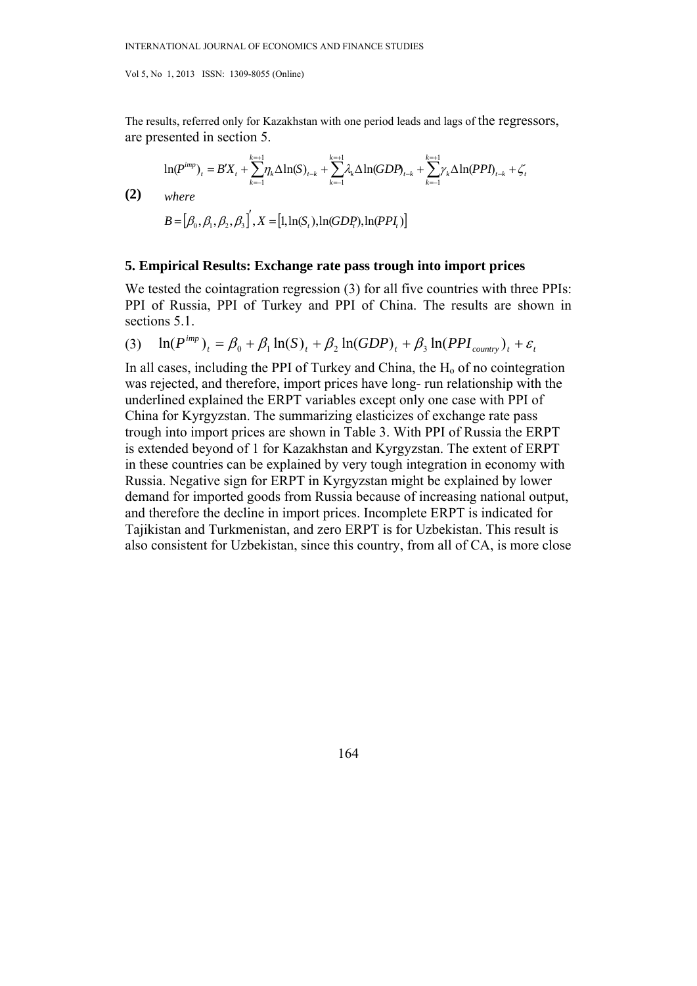The results, referred only for Kazakhstan with one period leads and lags of the regressors, are presented in section 5.

$$
\ln(P^{imp})_t = B'X_t + \sum_{k=1}^{k=+1} \eta_k \Delta \ln(S)_{t-k} + \sum_{k=1}^{k=+1} \lambda_k \Delta \ln(GDP_{t-k} + \sum_{k=1}^{k=+1} \gamma_k \Delta \ln(PPI)_{t-k} + \zeta_t
$$
\n
$$
\textbf{(2)} \quad \text{where}
$$
\n
$$
B = [\beta_0, \beta_1, \beta_2, \beta_3]', X = [1, \ln(S_t), \ln(GDP_t), \ln(PPI_t)]
$$

#### **5. Empirical Results: Exchange rate pass trough into import prices**

We tested the cointagration regression (3) for all five countries with three PPIs: PPI of Russia, PPI of Turkey and PPI of China. The results are shown in sections 5.1.

$$
(3) \quad \ln(P^{imp})_t = \beta_0 + \beta_1 \ln(S)_t + \beta_2 \ln(GDP)_t + \beta_3 \ln(PPI_{country})_t + \varepsilon_t
$$

In all cases, including the PPI of Turkey and China, the  $H<sub>o</sub>$  of no cointegration was rejected, and therefore, import prices have long- run relationship with the underlined explained the ERPT variables except only one case with PPI of China for Kyrgyzstan. The summarizing elasticizes of exchange rate pass trough into import prices are shown in Table 3. With PPI of Russia the ERPT is extended beyond of 1 for Kazakhstan and Kyrgyzstan. The extent of ERPT in these countries can be explained by very tough integration in economy with Russia. Negative sign for ERPT in Kyrgyzstan might be explained by lower demand for imported goods from Russia because of increasing national output, and therefore the decline in import prices. Incomplete ERPT is indicated for Tajikistan and Turkmenistan, and zero ERPT is for Uzbekistan. This result is also consistent for Uzbekistan, since this country, from all of CA, is more close

164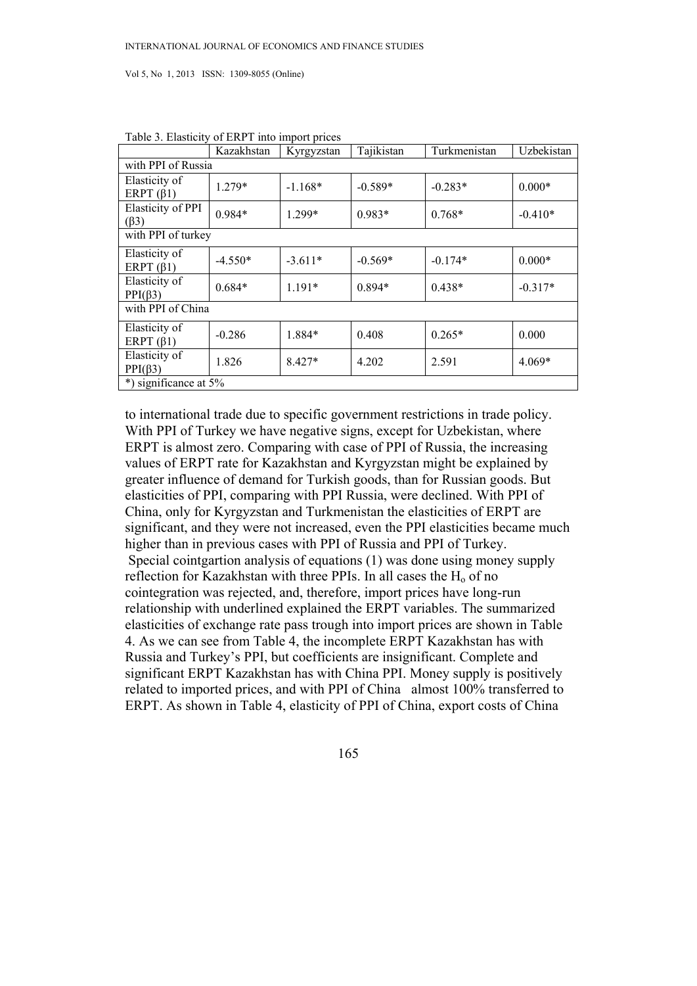|                                  | Kazakhstan | Kyrgyzstan | Tajikistan | Turkmenistan | Uzbekistan |  |  |  |
|----------------------------------|------------|------------|------------|--------------|------------|--|--|--|
| with PPI of Russia               |            |            |            |              |            |  |  |  |
| Elasticity of<br>ERPT $(\beta1)$ | $1.279*$   | $-1.168*$  | $-0.589*$  | $-0.283*$    | $0.000*$   |  |  |  |
| Elasticity of PPI<br>$(\beta 3)$ | 0.984*     | 1.299*     | 0.983*     | $0.768*$     | $-0.410*$  |  |  |  |
| with PPI of turkey               |            |            |            |              |            |  |  |  |
| Elasticity of<br>ERPT $(\beta1)$ | $-4.550*$  | $-3.611*$  | $-0.569*$  | $-0.174*$    | $0.000*$   |  |  |  |
| Elasticity of<br>$PPI(\beta 3)$  | $0.684*$   | $1.191*$   | $0.894*$   | $0.438*$     | $-0.317*$  |  |  |  |
| with PPI of China                |            |            |            |              |            |  |  |  |
| Elasticity of<br>ERPT $(\beta1)$ | $-0.286$   | 1.884*     | 0.408      | $0.265*$     | 0.000      |  |  |  |
| Elasticity of<br>$PPI(\beta 3)$  | 1.826      | $8.427*$   | 4.202      | 2.591        | 4.069*     |  |  |  |
| *) significance at 5%            |            |            |            |              |            |  |  |  |

Table 3. Elasticity of ERPT into import prices

to international trade due to specific government restrictions in trade policy. With PPI of Turkey we have negative signs, except for Uzbekistan, where ERPT is almost zero. Comparing with case of PPI of Russia, the increasing values of ERPT rate for Kazakhstan and Kyrgyzstan might be explained by greater influence of demand for Turkish goods, than for Russian goods. But elasticities of PPI, comparing with PPI Russia, were declined. With PPI of China, only for Kyrgyzstan and Turkmenistan the elasticities of ERPT are significant, and they were not increased, even the PPI elasticities became much higher than in previous cases with PPI of Russia and PPI of Turkey. Special cointgartion analysis of equations (1) was done using money supply reflection for Kazakhstan with three PPIs. In all cases the  $H<sub>o</sub>$  of no cointegration was rejected, and, therefore, import prices have long-run relationship with underlined explained the ERPT variables. The summarized elasticities of exchange rate pass trough into import prices are shown in Table 4. As we can see from Table 4, the incomplete ERPT Kazakhstan has with Russia and Turkey's PPI, but coefficients are insignificant. Complete and significant ERPT Kazakhstan has with China PPI. Money supply is positively related to imported prices, and with PPI of China almost 100% transferred to ERPT. As shown in Table 4, elasticity of PPI of China, export costs of China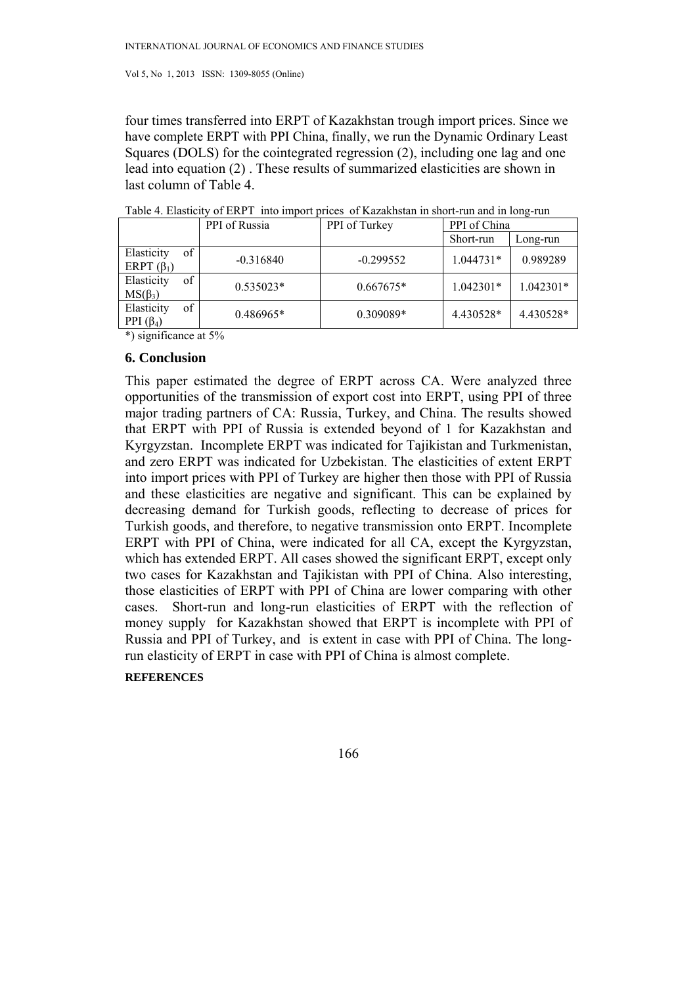four times transferred into ERPT of Kazakhstan trough import prices. Since we have complete ERPT with PPI China, finally, we run the Dynamic Ordinary Least Squares (DOLS) for the cointegrated regression (2), including one lag and one lead into equation (2) . These results of summarized elasticities are shown in last column of Table 4.

|                                      | PPI of Russia | PPI of Turkey | PPI of China |           |
|--------------------------------------|---------------|---------------|--------------|-----------|
|                                      |               |               | Short-run    | Long-run  |
| Elasticity<br>of<br>ERPT $(\beta_1)$ | $-0.316840$   | $-0.299552$   | $1.044731*$  | 0.989289  |
| of<br>Elasticity<br>$MS(\beta_3)$    | $0.535023*$   | $0.667675*$   | 1.042301*    | 1.042301* |
| of<br>Elasticity<br>PPI $(\beta_4)$  | $0.486965*$   | 0.309089*     | 4.430528*    | 4.430528* |

| Table 4. Elasticity of ERPT into import prices of Kazakhstan in short-run and in long-run |  |  |  |  |  |
|-------------------------------------------------------------------------------------------|--|--|--|--|--|
|-------------------------------------------------------------------------------------------|--|--|--|--|--|

\*) significance at 5%

#### **6. Conclusion**

This paper estimated the degree of ERPT across CA. Were analyzed three opportunities of the transmission of export cost into ERPT, using PPI of three major trading partners of CA: Russia, Turkey, and China. The results showed that ERPT with PPI of Russia is extended beyond of 1 for Kazakhstan and Kyrgyzstan. Incomplete ERPT was indicated for Tajikistan and Turkmenistan, and zero ERPT was indicated for Uzbekistan. The elasticities of extent ERPT into import prices with PPI of Turkey are higher then those with PPI of Russia and these elasticities are negative and significant. This can be explained by decreasing demand for Turkish goods, reflecting to decrease of prices for Turkish goods, and therefore, to negative transmission onto ERPT. Incomplete ERPT with PPI of China, were indicated for all CA, except the Kyrgyzstan, which has extended ERPT. All cases showed the significant ERPT, except only two cases for Kazakhstan and Tajikistan with PPI of China. Also interesting, those elasticities of ERPT with PPI of China are lower comparing with other cases. Short-run and long-run elasticities of ERPT with the reflection of money supply for Kazakhstan showed that ERPT is incomplete with PPI of Russia and PPI of Turkey, and is extent in case with PPI of China. The longrun elasticity of ERPT in case with PPI of China is almost complete.

# **REFERENCES**